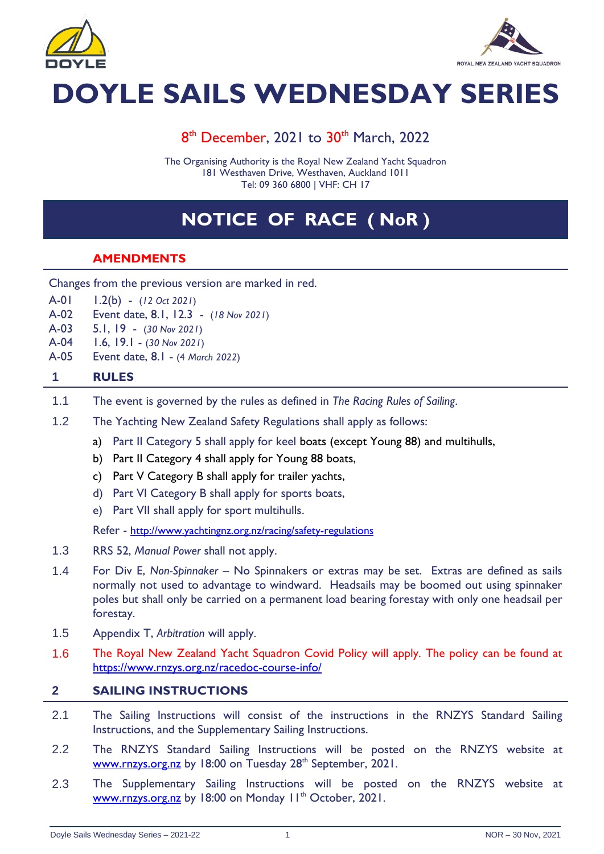



# **DOYLE SAILS WEDNESDAY SERIES**

### 8<sup>th</sup> December, 2021 to 30<sup>th</sup> March, 2022

The Organising Authority is the Royal New Zealand Yacht Squadron 181 Westhaven Drive, Westhaven, Auckland 1011 Tel: 09 360 6800 | VHF: CH 17

## **NOTICE OF RACE ( NoR )**

#### **AMENDMENTS**

- Changes from the previous version are marked in red.
- A-01 1.2(b) (*12 Oct 2021*)
- A-02 Event date, 8.1, 12.3 (*18 Nov 2021*)
- A-03 5.1, 19 (*30 Nov 2021*)
- A-04 1.6, 19.1 (*30 Nov 2021*)
- A-05 Event date, 8.1 (4 *March 2022*)

#### **1 RULES**

- 1.1 The event is governed by the rules as defined in *The Racing Rules of Sailing*.
- 1.2 The Yachting New Zealand Safety Regulations shall apply as follows:
	- a) Part II Category 5 shall apply for keel boats (except Young 88) and multihulls,
	- b) Part II Category 4 shall apply for Young 88 boats,
	- c) Part V Category B shall apply for trailer yachts,
	- d) Part VI Category B shall apply for sports boats,
	- e) Part VII shall apply for sport multihulls.

Refer - <http://www.yachtingnz.org.nz/racing/safety-regulations>

- 1.3 RRS 52, *Manual Power* shall not apply.
- 1.4 For Div E, *Non-Spinnaker* No Spinnakers or extras may be set. Extras are defined as sails normally not used to advantage to windward. Headsails may be boomed out using spinnaker poles but shall only be carried on a permanent load bearing forestay with only one headsail per forestay.
- 1.5 Appendix T, *Arbitration* will apply.
- 1.6 The Royal New Zealand Yacht Squadron Covid Policy will apply. The policy can be found at <https://www.rnzys.org.nz/racedoc-course-info/>

#### **2 SAILING INSTRUCTIONS**

- 2.1 The Sailing Instructions will consist of the instructions in the RNZYS Standard Sailing Instructions, and the Supplementary Sailing Instructions.
- 2.2 The RNZYS Standard Sailing Instructions will be posted on the RNZYS website at [www.rnzys.org.nz](http://www.rnzys.org.nz/) by 18:00 on Tuesday 28<sup>th</sup> September, 2021.
- 2.3 The Supplementary Sailing Instructions will be posted on the RNZYS website at [www.rnzys.org.nz](http://www.rnzys.org.nz/) by 18:00 on Monday 11<sup>th</sup> October, 2021.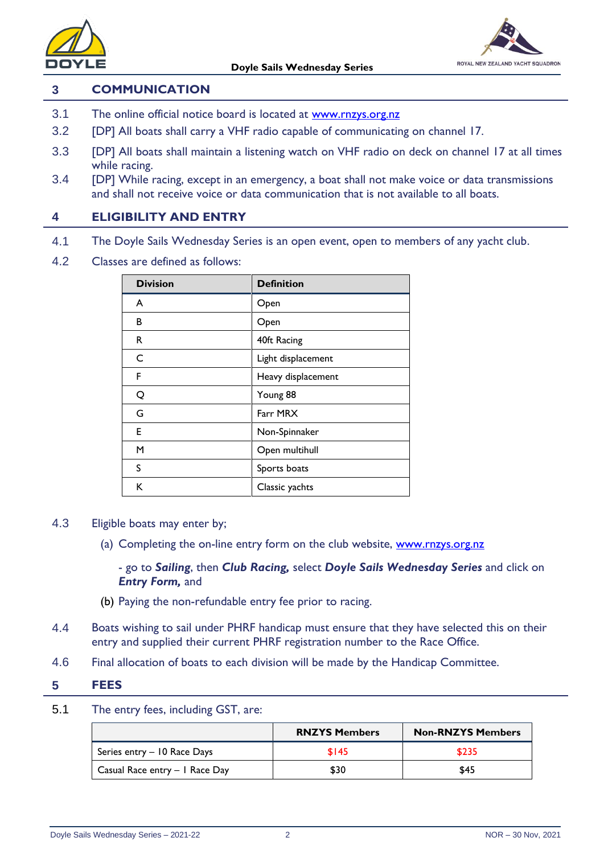



#### **3 COMMUNICATION**

- 3.1 The online official notice board is located at [www.rnzys.org.nz](http://www.rnzys.org.nz/)
- 3.2 [DP] All boats shall carry a VHF radio capable of communicating on channel 17.
- 3.3 [DP] All boats shall maintain a listening watch on VHF radio on deck on channel 17 at all times while racing.
- 3.4 [DP] While racing, except in an emergency, a boat shall not make voice or data transmissions and shall not receive voice or data communication that is not available to all boats.

#### **4 ELIGIBILITY AND ENTRY**

- 4.1 The Doyle Sails Wednesday Series is an open event, open to members of any yacht club.
- 4.2 Classes are defined as follows:

| <b>Division</b> | <b>Definition</b>  |
|-----------------|--------------------|
| A               | Open               |
| В               | Open               |
| R               | 40ft Racing        |
| C               | Light displacement |
| F               | Heavy displacement |
| Q               | Young 88           |
| G               | Farr MRX           |
| E               | Non-Spinnaker      |
| м               | Open multihull     |
| S               | Sports boats       |
| ĸ               | Classic yachts     |

- 4.3 Eligible boats may enter by;
	- (a) Completing the on-line entry form on the club website, [www.rnzys.org.nz](http://www.rnzys.org.nz/)

- go to *Sailing*, then *Club Racing,* select *Doyle Sails Wednesday Series* and click on *Entry Form,* and

- (b) Paying the non-refundable entry fee prior to racing.
- 4.4 Boats wishing to sail under PHRF handicap must ensure that they have selected this on their entry and supplied their current PHRF registration number to the Race Office.
- 4.6 Final allocation of boats to each division will be made by the Handicap Committee.

#### **5 FEES**

5.1 The entry fees, including GST, are:

|                                | <b>RNZYS Members</b> | <b>Non-RNZYS Members</b> |
|--------------------------------|----------------------|--------------------------|
| Series entry - 10 Race Days    | \$145                | \$235                    |
| Casual Race entry - I Race Day | \$30                 | \$45                     |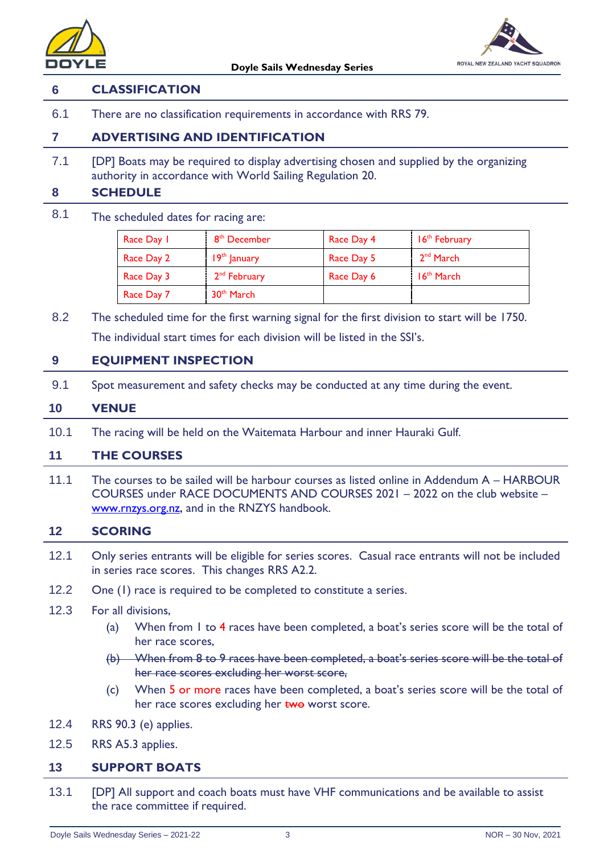



#### **6 CLASSIFICATION**

6.1 There are no classification requirements in accordance with RRS 79.

#### **7 ADVERTISING AND IDENTIFICATION**

7.1 [DP] Boats may be required to display advertising chosen and supplied by the organizing authority in accordance with World Sailing Regulation 20.

#### **8 SCHEDULE**

8.1 The scheduled dates for racing are:

| Race Day 1 | 8 <sup>th</sup> December | Race Day 4 | 16 <sup>th</sup> February |
|------------|--------------------------|------------|---------------------------|
| Race Day 2 | $19th$ January           | Race Day 5 | 2 <sup>nd</sup> March     |
| Race Day 3 | 2 <sup>nd</sup> February | Race Day 6 | $16th$ March              |
| Race Day 7 | 30 <sup>th</sup> March   |            |                           |

8.2 The scheduled time for the first warning signal for the first division to start will be 1750. The individual start times for each division will be listed in the SSI's.

#### **9 EQUIPMENT INSPECTION**

9.1 Spot measurement and safety checks may be conducted at any time during the event.

#### **10 VENUE**

10.1 The racing will be held on the Waitemata Harbour and inner Hauraki Gulf.

#### **11 THE COURSES**

11.1 The courses to be sailed will be harbour courses as listed online in Addendum A – HARBOUR COURSES under RACE DOCUMENTS AND COURSES 2021 – 2022 on the club website – [www.rnzys.org.nz,](http://www.rnzys.org.nz/) and in the RNZYS handbook.

#### **12 SCORING**

- 12.1 Only series entrants will be eligible for series scores. Casual race entrants will not be included in series race scores. This changes RRS A2.2.
- 12.2 One (1) race is required to be completed to constitute a series.
- 12.3 For all divisions,
	- (a) When from 1 to 4 races have been completed, a boat's series score will be the total of her race scores,
	- (b) When from 8 to 9 races have been completed, a boat's series score will be the total of her race scores excluding her worst score,
	- (c) When 5 or more races have been completed, a boat's series score will be the total of her race scores excluding her **two** worst score.
- 12.4 RRS 90.3 (e) applies.
- 12.5 RRS A5.3 applies.

#### **13 SUPPORT BOATS**

13.1 [DP] All support and coach boats must have VHF communications and be available to assist the race committee if required.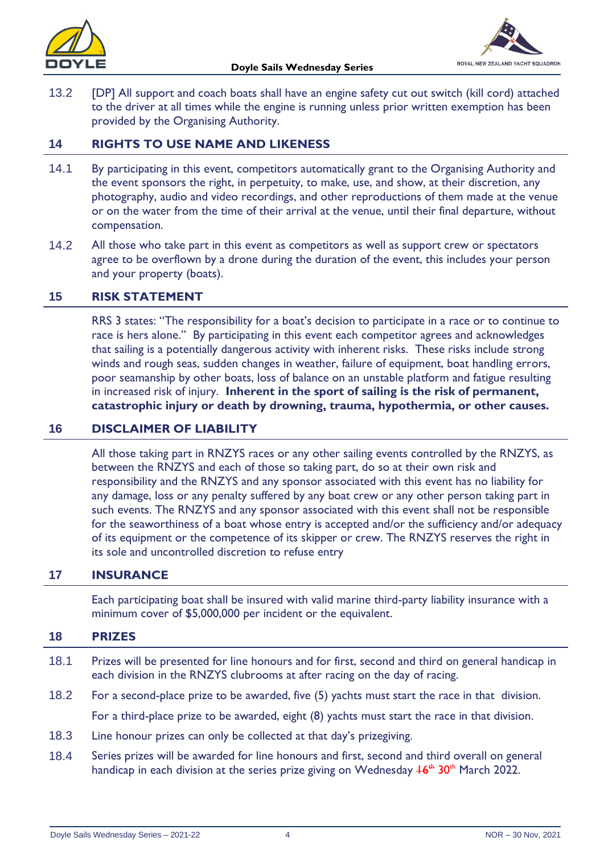



13.2 [DP] All support and coach boats shall have an engine safety cut out switch (kill cord) attached to the driver at all times while the engine is running unless prior written exemption has been provided by the Organising Authority.

#### **14 RIGHTS TO USE NAME AND LIKENESS**

- 14.1 By participating in this event, competitors automatically grant to the Organising Authority and the event sponsors the right, in perpetuity, to make, use, and show, at their discretion, any photography, audio and video recordings, and other reproductions of them made at the venue or on the water from the time of their arrival at the venue, until their final departure, without compensation.
- 14.2 All those who take part in this event as competitors as well as support crew or spectators agree to be overflown by a drone during the duration of the event, this includes your person and your property (boats).

#### **15 RISK STATEMENT**

RRS 3 states: "The responsibility for a boat's decision to participate in a race or to continue to race is hers alone." By participating in this event each competitor agrees and acknowledges that sailing is a potentially dangerous activity with inherent risks. These risks include strong winds and rough seas, sudden changes in weather, failure of equipment, boat handling errors, poor seamanship by other boats, loss of balance on an unstable platform and fatigue resulting in increased risk of injury. **Inherent in the sport of sailing is the risk of permanent, catastrophic injury or death by drowning, trauma, hypothermia, or other causes.**

#### **16 DISCLAIMER OF LIABILITY**

All those taking part in RNZYS races or any other sailing events controlled by the RNZYS, as between the RNZYS and each of those so taking part, do so at their own risk and responsibility and the RNZYS and any sponsor associated with this event has no liability for any damage, loss or any penalty suffered by any boat crew or any other person taking part in such events. The RNZYS and any sponsor associated with this event shall not be responsible for the seaworthiness of a boat whose entry is accepted and/or the sufficiency and/or adequacy of its equipment or the competence of its skipper or crew. The RNZYS reserves the right in its sole and uncontrolled discretion to refuse entry

#### **17 INSURANCE**

Each participating boat shall be insured with valid marine third-party liability insurance with a minimum cover of \$5,000,000 per incident or the equivalent.

#### **18 PRIZES**

- 18.1 Prizes will be presented for line honours and for first, second and third on general handicap in each division in the RNZYS clubrooms at after racing on the day of racing.
- 18.2 For a second-place prize to be awarded, five (5) yachts must start the race in that division. For a third-place prize to be awarded, eight (8) yachts must start the race in that division.
- 18.3 Line honour prizes can only be collected at that day's prizegiving.
- 18.4 Series prizes will be awarded for line honours and first, second and third overall on general handicap in each division at the series prize giving on Wednesday <del>16<sup>th</sup> 30<sup>th</sup> M</del>arch 2022.